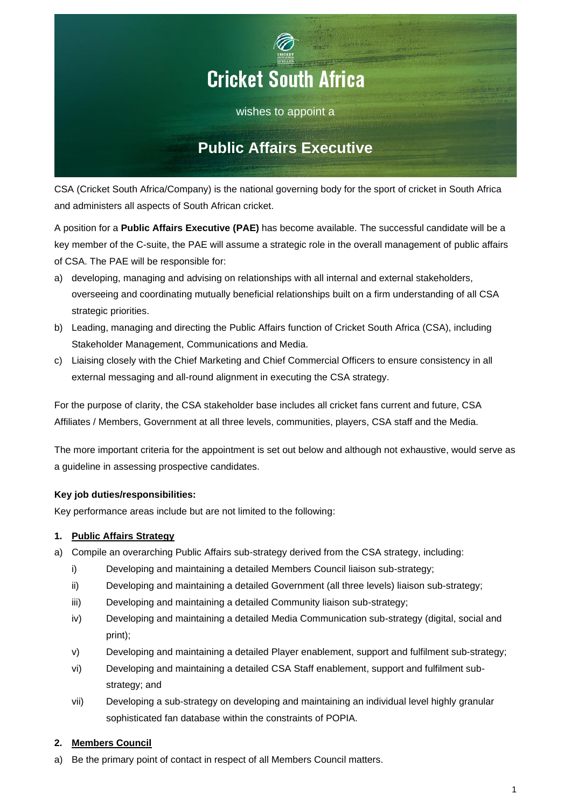

CSA (Cricket South Africa/Company) is the national governing body for the sport of cricket in South Africa and administers all aspects of South African cricket.

A position for a **Public Affairs Executive (PAE)** has become available. The successful candidate will be a key member of the C-suite, the PAE will assume a strategic role in the overall management of public affairs of CSA. The PAE will be responsible for:

- a) developing, managing and advising on relationships with all internal and external stakeholders, overseeing and coordinating mutually beneficial relationships built on a firm understanding of all CSA strategic priorities.
- b) Leading, managing and directing the Public Affairs function of Cricket South Africa (CSA), including Stakeholder Management, Communications and Media.
- c) Liaising closely with the Chief Marketing and Chief Commercial Officers to ensure consistency in all external messaging and all-round alignment in executing the CSA strategy.

For the purpose of clarity, the CSA stakeholder base includes all cricket fans current and future, CSA Affiliates / Members, Government at all three levels, communities, players, CSA staff and the Media.

The more important criteria for the appointment is set out below and although not exhaustive, would serve as a guideline in assessing prospective candidates.

# **Key job duties/responsibilities:**

Key performance areas include but are not limited to the following:

# **1. Public Affairs Strategy**

- a) Compile an overarching Public Affairs sub-strategy derived from the CSA strategy, including:
	- i) Developing and maintaining a detailed Members Council liaison sub-strategy;
	- ii) Developing and maintaining a detailed Government (all three levels) liaison sub-strategy;
	- iii) Developing and maintaining a detailed Community liaison sub-strategy;
	- iv) Developing and maintaining a detailed Media Communication sub-strategy (digital, social and print);
	- v) Developing and maintaining a detailed Player enablement, support and fulfilment sub-strategy;
	- vi) Developing and maintaining a detailed CSA Staff enablement, support and fulfilment substrategy; and
	- vii) Developing a sub-strategy on developing and maintaining an individual level highly granular sophisticated fan database within the constraints of POPIA.

# **2. Members Council**

a) Be the primary point of contact in respect of all Members Council matters.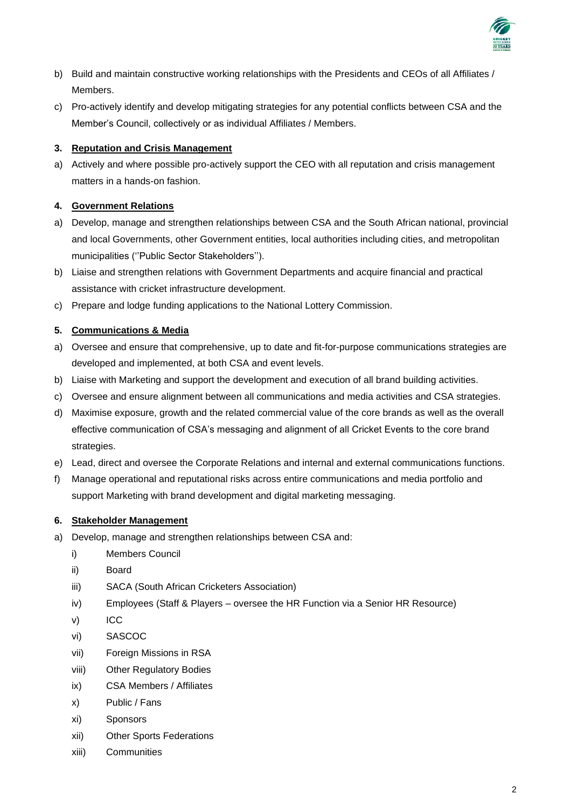

- b) Build and maintain constructive working relationships with the Presidents and CEOs of all Affiliates / Members.
- c) Pro-actively identify and develop mitigating strategies for any potential conflicts between CSA and the Member's Council, collectively or as individual Affiliates / Members.

# **3. Reputation and Crisis Management**

a) Actively and where possible pro-actively support the CEO with all reputation and crisis management matters in a hands-on fashion.

# **4. Government Relations**

- a) Develop, manage and strengthen relationships between CSA and the South African national, provincial and local Governments, other Government entities, local authorities including cities, and metropolitan municipalities (''Public Sector Stakeholders'').
- b) Liaise and strengthen relations with Government Departments and acquire financial and practical assistance with cricket infrastructure development.
- c) Prepare and lodge funding applications to the National Lottery Commission.

# **5. Communications & Media**

- a) Oversee and ensure that comprehensive, up to date and fit-for-purpose communications strategies are developed and implemented, at both CSA and event levels.
- b) Liaise with Marketing and support the development and execution of all brand building activities.
- c) Oversee and ensure alignment between all communications and media activities and CSA strategies.
- d) Maximise exposure, growth and the related commercial value of the core brands as well as the overall effective communication of CSA's messaging and alignment of all Cricket Events to the core brand strategies.
- e) Lead, direct and oversee the Corporate Relations and internal and external communications functions.
- f) Manage operational and reputational risks across entire communications and media portfolio and support Marketing with brand development and digital marketing messaging.

# **6. Stakeholder Management**

- a) Develop, manage and strengthen relationships between CSA and:
	- i) Members Council
	- ii) Board
	- iii) SACA (South African Cricketers Association)
	- iv) Employees (Staff & Players oversee the HR Function via a Senior HR Resource)
	- v) ICC
	- vi) SASCOC
	- vii) Foreign Missions in RSA
	- viii) Other Regulatory Bodies
	- ix) CSA Members / Affiliates
	- x) Public / Fans
	- xi) Sponsors
	- xii) Other Sports Federations
	- xiii) Communities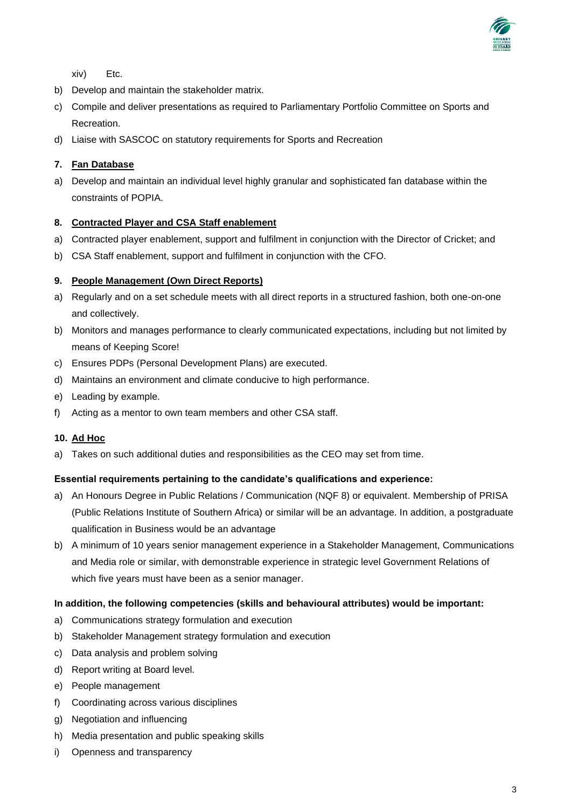

xiv) Etc.

- b) Develop and maintain the stakeholder matrix.
- c) Compile and deliver presentations as required to Parliamentary Portfolio Committee on Sports and Recreation.
- d) Liaise with SASCOC on statutory requirements for Sports and Recreation

# **7. Fan Database**

a) Develop and maintain an individual level highly granular and sophisticated fan database within the constraints of POPIA.

# **8. Contracted Player and CSA Staff enablement**

- a) Contracted player enablement, support and fulfilment in conjunction with the Director of Cricket; and
- b) CSA Staff enablement, support and fulfilment in conjunction with the CFO.

#### **9. People Management (Own Direct Reports)**

- a) Regularly and on a set schedule meets with all direct reports in a structured fashion, both one-on-one and collectively.
- b) Monitors and manages performance to clearly communicated expectations, including but not limited by means of Keeping Score!
- c) Ensures PDPs (Personal Development Plans) are executed.
- d) Maintains an environment and climate conducive to high performance.
- e) Leading by example.
- f) Acting as a mentor to own team members and other CSA staff.

# **10. Ad Hoc**

a) Takes on such additional duties and responsibilities as the CEO may set from time.

#### **Essential requirements pertaining to the candidate's qualifications and experience:**

- a) An Honours Degree in Public Relations / Communication (NQF 8) or equivalent. Membership of PRISA (Public Relations Institute of Southern Africa) or similar will be an advantage. In addition, a postgraduate qualification in Business would be an advantage
- b) A minimum of 10 years senior management experience in a Stakeholder Management, Communications and Media role or similar, with demonstrable experience in strategic level Government Relations of which five years must have been as a senior manager.

#### **In addition, the following competencies (skills and behavioural attributes) would be important:**

- a) Communications strategy formulation and execution
- b) Stakeholder Management strategy formulation and execution
- c) Data analysis and problem solving
- d) Report writing at Board level.
- e) People management
- f) Coordinating across various disciplines
- g) Negotiation and influencing
- h) Media presentation and public speaking skills
- i) Openness and transparency